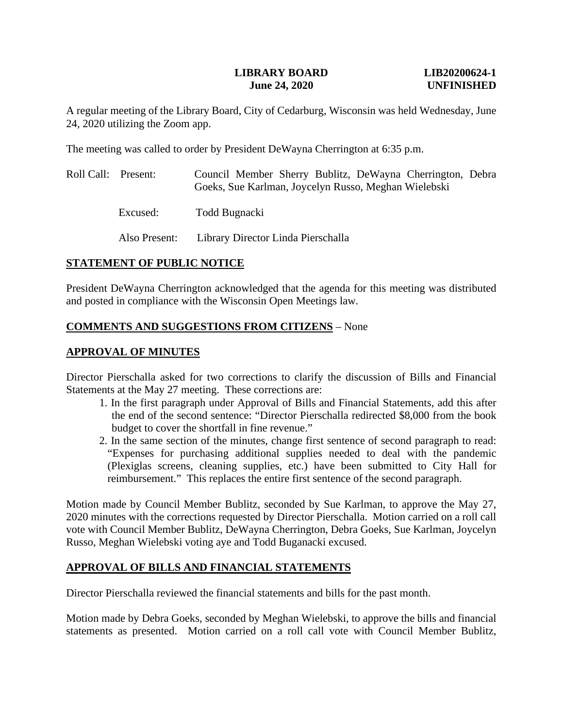#### **LIBRARY BOARD LIB20200624-1 June 24, 2020 UNFINISHED**

A regular meeting of the Library Board, City of Cedarburg, Wisconsin was held Wednesday, June 24, 2020 utilizing the Zoom app.

The meeting was called to order by President DeWayna Cherrington at 6:35 p.m.

- Roll Call: Present: Council Member Sherry Bublitz, DeWayna Cherrington, Debra Goeks, Sue Karlman, Joycelyn Russo, Meghan Wielebski
	- Excused: Todd Bugnacki

Also Present: Library Director Linda Pierschalla

## **STATEMENT OF PUBLIC NOTICE**

President DeWayna Cherrington acknowledged that the agenda for this meeting was distributed and posted in compliance with the Wisconsin Open Meetings law.

## **COMMENTS AND SUGGESTIONS FROM CITIZENS** – None

## **APPROVAL OF MINUTES**

Director Pierschalla asked for two corrections to clarify the discussion of Bills and Financial Statements at the May 27 meeting. These corrections are:

- 1. In the first paragraph under Approval of Bills and Financial Statements, add this after the end of the second sentence: "Director Pierschalla redirected \$8,000 from the book budget to cover the shortfall in fine revenue."
- 2. In the same section of the minutes, change first sentence of second paragraph to read: "Expenses for purchasing additional supplies needed to deal with the pandemic (Plexiglas screens, cleaning supplies, etc.) have been submitted to City Hall for reimbursement." This replaces the entire first sentence of the second paragraph.

Motion made by Council Member Bublitz, seconded by Sue Karlman, to approve the May 27, 2020 minutes with the corrections requested by Director Pierschalla. Motion carried on a roll call vote with Council Member Bublitz, DeWayna Cherrington, Debra Goeks, Sue Karlman, Joycelyn Russo, Meghan Wielebski voting aye and Todd Buganacki excused.

## **APPROVAL OF BILLS AND FINANCIAL STATEMENTS**

Director Pierschalla reviewed the financial statements and bills for the past month.

Motion made by Debra Goeks, seconded by Meghan Wielebski, to approve the bills and financial statements as presented. Motion carried on a roll call vote with Council Member Bublitz,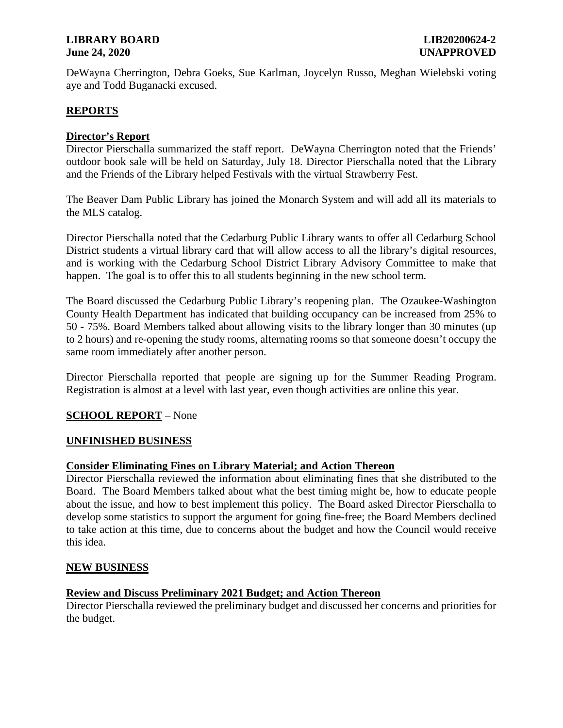## **LIBRARY BOARD LIB20200624-2 June 24, 2020 UNAPPROVED**

DeWayna Cherrington, Debra Goeks, Sue Karlman, Joycelyn Russo, Meghan Wielebski voting aye and Todd Buganacki excused.

## **REPORTS**

## **Director's Report**

Director Pierschalla summarized the staff report. DeWayna Cherrington noted that the Friends' outdoor book sale will be held on Saturday, July 18. Director Pierschalla noted that the Library and the Friends of the Library helped Festivals with the virtual Strawberry Fest.

The Beaver Dam Public Library has joined the Monarch System and will add all its materials to the MLS catalog.

Director Pierschalla noted that the Cedarburg Public Library wants to offer all Cedarburg School District students a virtual library card that will allow access to all the library's digital resources, and is working with the Cedarburg School District Library Advisory Committee to make that happen. The goal is to offer this to all students beginning in the new school term.

The Board discussed the Cedarburg Public Library's reopening plan. The Ozaukee-Washington County Health Department has indicated that building occupancy can be increased from 25% to 50 - 75%. Board Members talked about allowing visits to the library longer than 30 minutes (up to 2 hours) and re-opening the study rooms, alternating rooms so that someone doesn't occupy the same room immediately after another person.

Director Pierschalla reported that people are signing up for the Summer Reading Program. Registration is almost at a level with last year, even though activities are online this year.

#### **SCHOOL REPORT** – None

#### **UNFINISHED BUSINESS**

#### **Consider Eliminating Fines on Library Material; and Action Thereon**

Director Pierschalla reviewed the information about eliminating fines that she distributed to the Board. The Board Members talked about what the best timing might be, how to educate people about the issue, and how to best implement this policy. The Board asked Director Pierschalla to develop some statistics to support the argument for going fine-free; the Board Members declined to take action at this time, due to concerns about the budget and how the Council would receive this idea.

#### **NEW BUSINESS**

#### **Review and Discuss Preliminary 2021 Budget; and Action Thereon**

Director Pierschalla reviewed the preliminary budget and discussed her concerns and priorities for the budget.